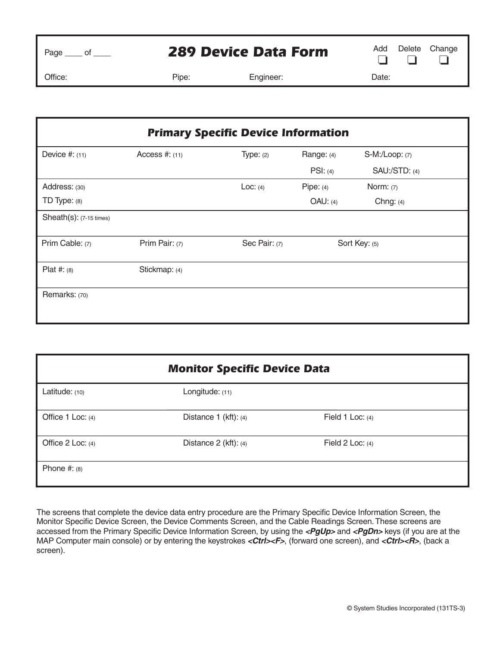| ۵<br>47 T<br>. – <u>. –</u> |  |
|-----------------------------|--|
|                             |  |

## **289 Device Data Form** Add Delete Change

 $\Box$  $\Box$  $\Box$ 

Office: Pipe: Engineer: Date:

| <b>Primary Specific Device Information</b> |                  |               |             |                      |
|--------------------------------------------|------------------|---------------|-------------|----------------------|
| Device $#: (11)$                           | Access $#: (11)$ | Type: $(2)$   | Range: (4)  | S-M:/Loop: (7)       |
|                                            |                  |               | PSI: (4)    | <b>SAU:/STD: (4)</b> |
| Address: (30)                              |                  | Loc: $(4)$    | Pipe: $(4)$ | Norm: $(7)$          |
| TD Type: $(8)$                             |                  |               | OAU: (4)    | Chng: $(4)$          |
| $Sheath(s): (7-15 \times s)$               |                  |               |             |                      |
| Prim Cable: (7)                            | Prim Pair: (7)   | Sec Pair: (7) |             | Sort Key: (5)        |
| Plat #: $(8)$                              | Stickmap: (4)    |               |             |                      |
| Remarks: (70)                              |                  |               |             |                      |

| <b>Monitor Specific Device Data</b> |                         |                    |  |  |
|-------------------------------------|-------------------------|--------------------|--|--|
| Latitude: (10)                      | Longitude: (11)         |                    |  |  |
| Office $1$ Loc: (4)                 | Distance 1 (kft): (4)   | Field 1 Loc: $(4)$ |  |  |
| Office 2 Loc: (4)                   | Distance $2$ (kft): (4) | Field 2 Loc: $(4)$ |  |  |
| Phone $#: (8)$                      |                         |                    |  |  |

The screens that complete the device data entry procedure are the Primary Specific Device Information Screen, the Monitor Specific Device Screen, the Device Comments Screen, and the Cable Readings Screen. These screens are accessed from the Primary Specific Device Information Screen, by using the <PgUp> and <PgDn> keys (if you are at the MAP Computer main console) or by entering the keystrokes <Ctrl><F>, (forward one screen), and <Ctrl><**R**>, (back a screen).